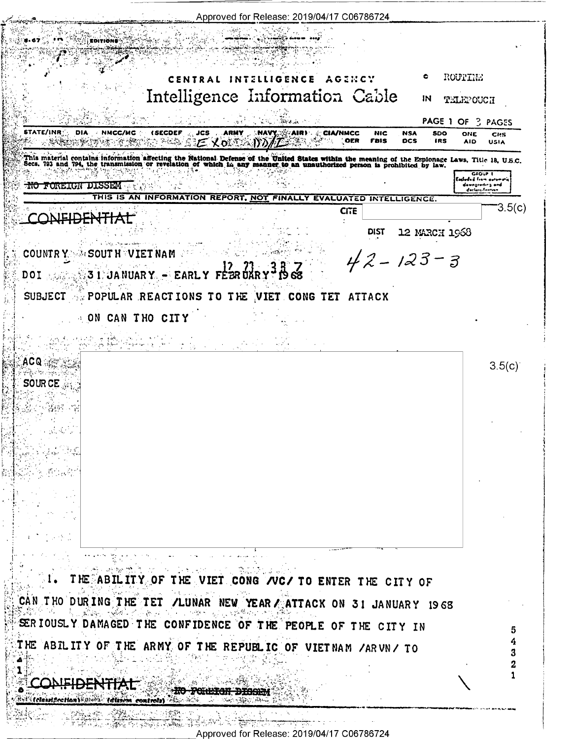| Approved for Release: 2019/04/17 C06786724                                                                                                                                                                                       |                                                       |
|----------------------------------------------------------------------------------------------------------------------------------------------------------------------------------------------------------------------------------|-------------------------------------------------------|
| <b>ROITIONS</b>                                                                                                                                                                                                                  |                                                       |
|                                                                                                                                                                                                                                  |                                                       |
| c<br>CENTRAL INTELLIGENCE<br>AGINCY                                                                                                                                                                                              | ROUTINE                                               |
| Intelligence Information Cable<br>ΙN                                                                                                                                                                                             | TELEPOUCH                                             |
| <b>A SALE AND A SHOP AND A STATE</b><br>n i genti                                                                                                                                                                                | PAGE 1 OF 3 PAGES                                     |
| STATE/INR :<br>DIA.<br>NMCC/MC<br><b>(SECDEF</b><br>JCS.<br><b>ARMY</b><br>$MN$ $\sim$ $MN$ $\sim$ $CM$ $MC$<br><b>NIC</b><br><b>NSA</b><br>SDO<br>※※※※※※※ ここ くっぷ かがた<br>OER<br><b>FBIS</b><br><b>DCS</b><br>IRS                 | ONE<br><b>CHS</b><br><b>AID</b><br><b>USIA</b>        |
| This material contains information affecting the National Defense of the United States within the meaning of the Espionage Laws, Title 18, U.S.C.<br>Secs. 793 and 794, the transmission or revelation of which in any manner to |                                                       |
| <b>NO FOREIGN DISSEM</b> AND SEAT                                                                                                                                                                                                | GEOUP I<br>Eachoded from curvmaric<br>dawngroding and |
| THIS IS AN INFORMATION REPORT, NOT FINALLY EVALUATED INTELLIGENCE.<br>572 X 7<br>-111                                                                                                                                            | doclassification<br>З.5(с)                            |
| <b>CITE</b><br><b>NEIDEN</b>                                                                                                                                                                                                     |                                                       |
| <b>DIST</b><br>12 MARCH 1968                                                                                                                                                                                                     |                                                       |
| COUNTRY New SOUT HEVIET NAM<br>$42 - 123 - 3$                                                                                                                                                                                    |                                                       |
| DOI 33 31 JANUARY - EARLY FEBRUARY                                                                                                                                                                                               |                                                       |
| SUBJECT A POPULAR REACTIONS TO THE VIET CONG TET ATTACK                                                                                                                                                                          |                                                       |
| A ON CAN THO CITY                                                                                                                                                                                                                |                                                       |
| ام اسم الحمل السار بيتار المن العقود المن التي التي توجه المنافر.<br>المنافر المن المستحدة المنافرة المسلمية المناوب المنافرة المنافرة المنافرة.                                                                                 |                                                       |
| ACQ ಇನ್ನಷ                                                                                                                                                                                                                        | 3.5(c)                                                |
| SOUR CE                                                                                                                                                                                                                          |                                                       |
|                                                                                                                                                                                                                                  |                                                       |
|                                                                                                                                                                                                                                  |                                                       |
|                                                                                                                                                                                                                                  |                                                       |
|                                                                                                                                                                                                                                  |                                                       |
|                                                                                                                                                                                                                                  |                                                       |
|                                                                                                                                                                                                                                  |                                                       |
|                                                                                                                                                                                                                                  |                                                       |
| an Maria                                                                                                                                                                                                                         |                                                       |
| is a comparison of the second comparison $\omega$                                                                                                                                                                                |                                                       |
| THE ABILITY OF THE VIET CONG /VC/ TO ENTER THE CITY OF<br>$\sim$ 4 $\sim$<br>计传输器 医大脑                                                                                                                                            |                                                       |
| CAN THO DURING THE TET /LUNAR NEW YEAR / ATTACK ON 31 JANUARY 1968<br>医血酸磷脂 化磺酸甲酯 化数字分布 计同步模型 医原                                                                                                                                 |                                                       |
| SERIOUSLY DAMAGED THE CONFIDENCE OF THE PEOPLE OF THE CITY IN                                                                                                                                                                    |                                                       |
| THE ABILITY OF THE ARMY OF THE REPUBLIC OF VIETNAM /ARVN/ TO                                                                                                                                                                     |                                                       |
|                                                                                                                                                                                                                                  |                                                       |
| 10월 20일<br>10월 20일<br>$\Delta^{AB}$<br>$\mathbf{1}_{\mathrm{L}}$                                                                                                                                                                 |                                                       |
| <b>Excellent fretton Value (distin controls)</b> and                                                                                                                                                                             |                                                       |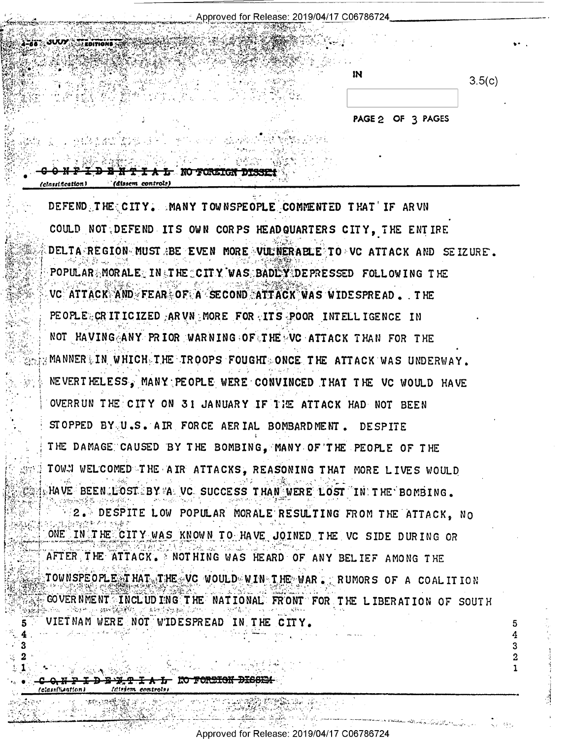| Approved for Release: 2019/04/17 C06786724 |  |  |
|--------------------------------------------|--|--|
|--------------------------------------------|--|--|

| ٠  |        |
|----|--------|
| IN | 3.5(c) |
|    |        |
|    | àis i  |

4 3  $\mathbf{2}$ 

PAGE 2 OF 3 PAGES

DEFEND THE CITY. MANY TOWNSPEOPLE COMMENTED THAT IF ARVN COULD NOT DEFEND ITS OWN CORPS HEADQUARTERS CITY, THE ENTIRE DELTA REGION MUST REE EVEN MORE VULNERABLE TO VC ATTACK AND SEIZURE. POPULAR MORALE IN ITHE CITY WAS BADEY DEPRESSED FOLLOWING THE VC ATTACK AND FEAR OF A SECOND ATTACK WAS WIDESPREAD. THE PEOPLE CRITICIZED ARVN MORE FOR ITS POOR INTELLIGENCE IN NOT HAVING ANY PRIOR WARNING OF THE VC ATTACK THAN FOR THE MANNERLIN WHICH THE TROOPS FOUGHT ONCE THE ATTACK WAS UNDERWAY. NEVERTHELESS, MANY PEOPLE WERE CONVINCED THAT THE VC WOULD HAVE OVERRUN THE CITY ON 31 JANUARY IF THE ATTACK HAD NOT BEEN STOPPED BY U.S. AIR FORCE AERIAL BOMBARDMENT. DESPITE THE DAMAGE CAUSED BY THE BOMBING, MANY OF THE PEOPLE OF THE TOWN WELCOMED THE AIR ATTACKS, REASONING THAT MORE LIVES WOULD  $_{\circ}$  HAVE BEEN (LOST BY  $^{y}$ A VC SUCCESS THAN WERE LOST  $^{''}$  IN THE BOMBING.

2. DESPITE LOW POPULAR MORALE RESULTING FROM THE ATTACK, NO ONE IN THE CITY WAS KNOWN TO HAVE JOINED THE VC SIDE DURING OR AFTER THE ATTACK. MOTHING WAS HEARD OF ANY BELIEF AMONG THE TOWNSPEOPLE THAT THE VC WOULD WIN THE WAR . RUMORS OF A COALITION GOVERNMENT INCLUDING THE NATIONAL FRONT FOR THE LIBERATION OF SOUTH VIETNAM WERE NOT WIDESPREAD IN THE CITY

**Idissem** control